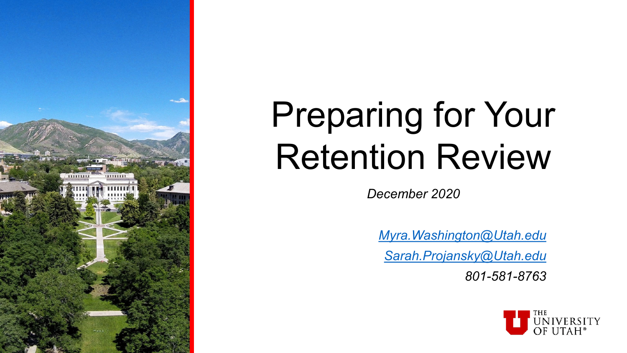

# Preparing for Your Retention Review

*December 2020*

*[Myra.Washington@Utah.edu](mailto:sarah.projansky@Utah.edu)*

*[Sarah.Projansky@Utah.edu](mailto:sarah.projansky@Utah.edu)*

*801-581-8763*

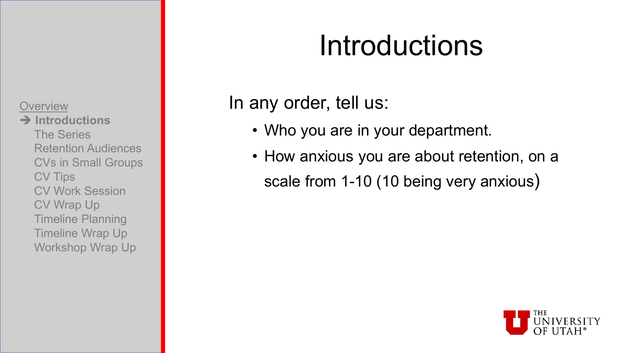**Introductions** The Series Retention Audiences CVs in Small Groups CV Tips CV Work Session CV Wrap Up Timeline Planning Timeline Wrap Up Workshop Wrap Up

### Introductions

### In any order, tell us:

- Who you are in your department.
- How anxious you are about retention, on a scale from 1-10 (10 being very anxious)

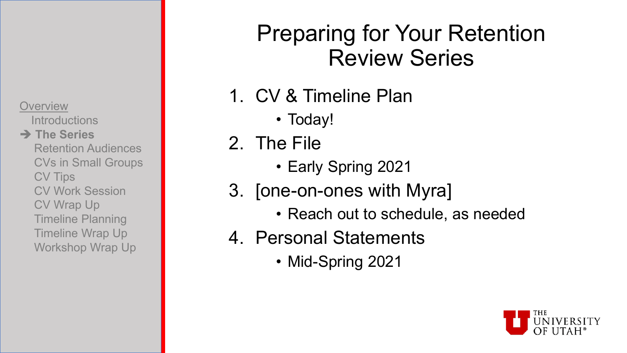**Introductions** 

#### **→ The Series**

Retention Audiences CVs in Small Groups CV Tips CV Work Session CV Wrap Up Timeline Planning Timeline Wrap Up Workshop Wrap Up

### Preparing for Your Retention Review Series

- 1. CV & Timeline Plan
	- Today!
- 2. The File
	- Early Spring 2021
- 3. [one-on-ones with Myra]
	- Reach out to schedule, as needed
- 4. Personal Statements
	- Mid-Spring 2021

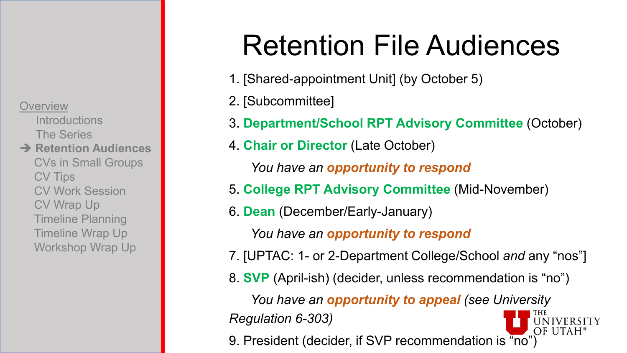**Introductions** The Series **→ Retention Audiences** 

CVs in Small Groups CV Tips CV Work Session CV Wrap Up Timeline Planning Timeline Wrap Up Workshop Wrap Up

## Retention File Audiences

- 1. [Shared-appointment Unit] (by October 5)
- 2. [Subcommittee]
- 3. **Department/School RPT Advisory Committee** (October)
- 4. **Chair or Director** (Late October)

*You have an opportunity to respond*

- 5. **College RPT Advisory Committee** (Mid-November)
- 6. **Dean** (December/Early-January)

*You have an opportunity to respond*

- 7. [UPTAC: 1- or 2-Department College/School *and* any "nos"]
- 8. **SVP** (April-ish) (decider, unless recommendation is "no")

*You have an opportunity to appeal (see University* 

*Regulation 6-303)*

9. President (decider, if SVP recommendation is "no")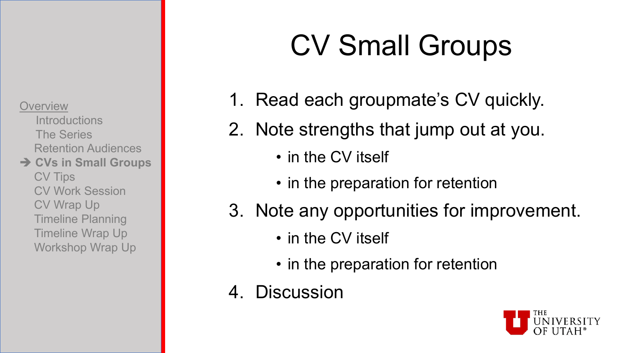**Introductions** The Series Retention Audiences **→ CVs in Small Groups** 

CV Tips CV Work Session CV Wrap Up Timeline Planning Timeline Wrap Up Workshop Wrap Up

# CV Small Groups

- 1. Read each groupmate's CV quickly.
- 2. Note strengths that jump out at you.
	- in the CV itself
	- in the preparation for retention
- 3. Note any opportunities for improvement.
	- in the CV itself
	- in the preparation for retention
- 4. Discussion

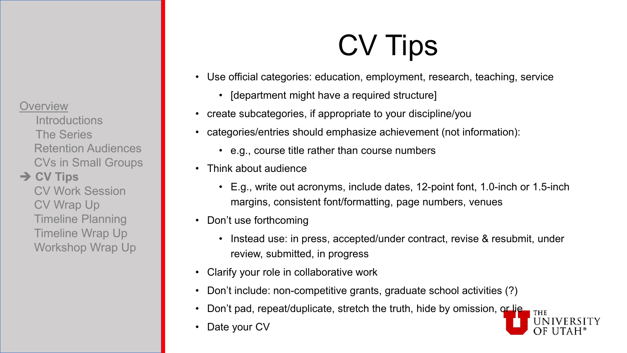**Introductions** The Series Retention Audiences CVs in Small Groups

#### **→ CV Tips**

CV Work Session CV Wrap Up Timeline Planning Timeline Wrap Up Workshop Wrap Up

## CV Tips

- Use official categories: education, employment, research, teaching, service
	- [department might have a required structure]
- create subcategories, if appropriate to your discipline/you
- categories/entries should emphasize achievement (not information):
	- e.g., course title rather than course numbers
- Think about audience
	- E.g., write out acronyms, include dates, 12-point font, 1.0-inch or 1.5-inch margins, consistent font/formatting, page numbers, venues
- Don't use forthcoming
	- Instead use: in press, accepted/under contract, revise & resubmit, under review, submitted, in progress
- Clarify your role in collaborative work
- Don't include: non-competitive grants, graduate school activities (?)
- Don't pad, repeat/duplicate, stretch the truth, hide by omission, or lie
- Date your CV

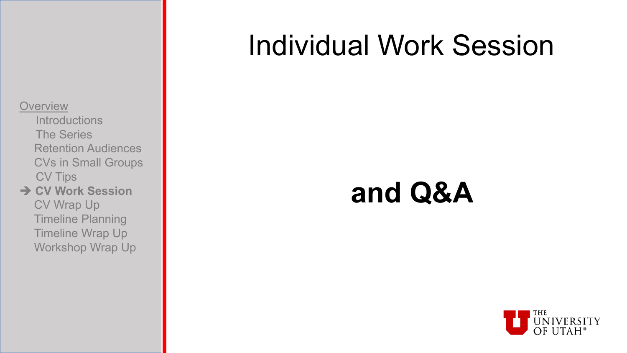- **Introductions** The Series Retention Audiences CVs in Small Groups CV Tips
- **→ CV Work Session** CV Wrap Up Timeline Planning Timeline Wrap Up Workshop Wrap Up

### Individual Work Session

### **and Q&A**

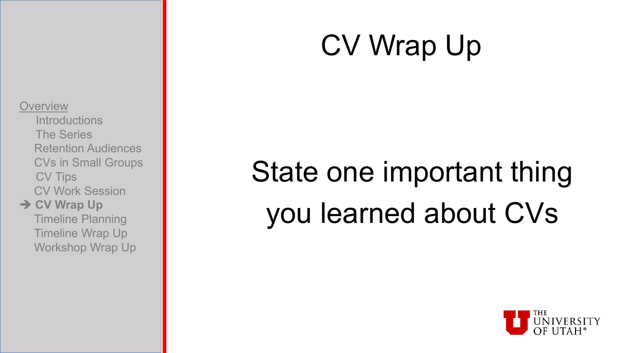### CV Wrap Up

#### **Overview**

- **Introductions** The Series Retention Audiences CVs in Small Groups CV Tips CV Work Session
- **→ CV Wrap Up** Timeline Planning Timeline Wrap Up Workshop Wrap Up

# State one important thing you learned about CVs

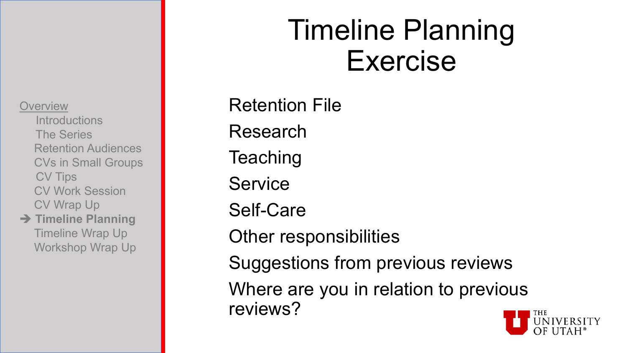**Introductions** The Series Retention Audiences CVs in Small Groups CV Tips CV Work Session CV Wrap Up

**→ Timeline Planning** Timeline Wrap Up Workshop Wrap Up

### Timeline Planning Exercise

Retention File Research **Teaching Service** Self-Care Other responsibilities Suggestions from previous reviews Where are you in relation to previous reviews?

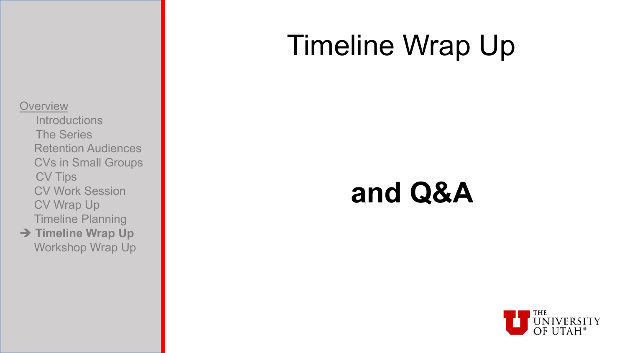### Timeline Wrap Up

#### **Overview**

- **Introductions** The Series Retention Audiences CVs in Small Groups CV Tips CV Work Session CV Wrap Up Timeline Planning
- **→ Timeline Wrap Up** Workshop Wrap Up

### **and Q&A**